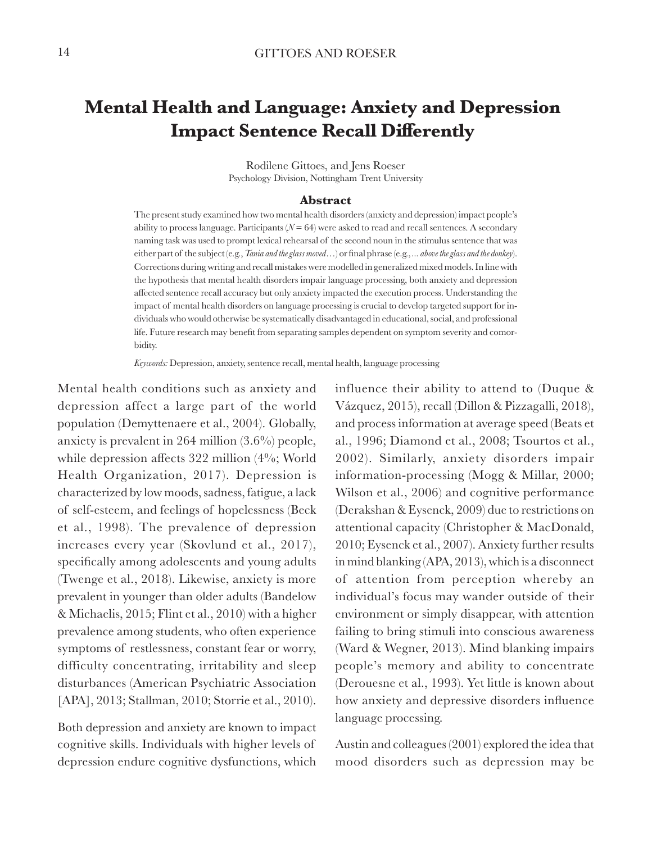# **Mental Health and Language: Anxiety and Depression Impact Sentence Recall Differently**

Rodilene Gittoes, and Jens Roeser Psychology Division, Nottingham Trent University

#### **Abstract**

The present study examined how two mental health disorders (anxiety and depression) impact people's ability to process language. Participants  $(N = 64)$  were asked to read and recall sentences. A secondary naming task was used to prompt lexical rehearsal of the second noun in the stimulus sentence that was either part of the subject (e.g., *Tania and the glass moved*…) or final phrase (e.g., *... above the glass and the donkey*). Corrections during writing and recall mistakes were modelled in generalized mixed models. In line with the hypothesis that mental health disorders impair language processing, both anxiety and depression affected sentence recall accuracy but only anxiety impacted the execution process. Understanding the impact of mental health disorders on language processing is crucial to develop targeted support for individuals who would otherwise be systematically disadvantaged in educational, social, and professional life. Future research may benefit from separating samples dependent on symptom severity and comorbidity.

*Keywords:* Depression, anxiety, sentence recall, mental health, language processing

Mental health conditions such as anxiety and depression affect a large part of the world population (Demyttenaere et al., 2004). Globally, anxiety is prevalent in 264 million (3.6%) people, while depression affects 322 million (4%; World Health Organization, 2017). Depression is characterized by low moods, sadness, fatigue, a lack of self-esteem, and feelings of hopelessness (Beck et al., 1998). The prevalence of depression increases every year (Skovlund et al., 2017), specifically among adolescents and young adults (Twenge et al., 2018). Likewise, anxiety is more prevalent in younger than older adults (Bandelow & Michaelis, 2015; Flint et al., 2010) with a higher prevalence among students, who often experience symptoms of restlessness, constant fear or worry, difficulty concentrating, irritability and sleep disturbances (American Psychiatric Association [APA], 2013; Stallman, 2010; Storrie et al., 2010).

Both depression and anxiety are known to impact cognitive skills. Individuals with higher levels of depression endure cognitive dysfunctions, which

influence their ability to attend to (Duque & Vázquez, 2015), recall (Dillon & Pizzagalli, 2018), and process information at average speed (Beats et al., 1996; Diamond et al., 2008; Tsourtos et al., 2002). Similarly, anxiety disorders impair information-processing (Mogg & Millar, 2000; Wilson et al., 2006) and cognitive performance (Derakshan & Eysenck, 2009) due to restrictions on attentional capacity (Christopher & MacDonald, 2010; Eysenck et al., 2007). Anxiety further results in mind blanking (APA, 2013), which is a disconnect of attention from perception whereby an individual's focus may wander outside of their environment or simply disappear, with attention failing to bring stimuli into conscious awareness (Ward & Wegner, 2013). Mind blanking impairs people's memory and ability to concentrate (Derouesne et al., 1993). Yet little is known about how anxiety and depressive disorders influence language processing.

Austin and colleagues (2001) explored the idea that mood disorders such as depression may be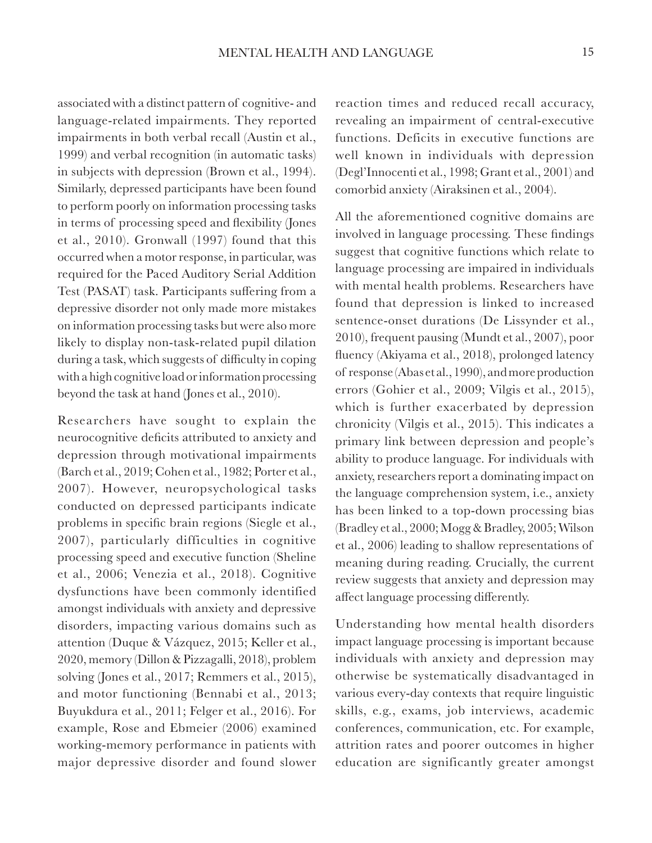associated with a distinct pattern of cognitive- and language-related impairments. They reported impairments in both verbal recall (Austin et al., 1999) and verbal recognition (in automatic tasks) in subjects with depression (Brown et al., 1994). Similarly, depressed participants have been found to perform poorly on information processing tasks in terms of processing speed and flexibility (Jones et al., 2010). Gronwall (1997) found that this occurred when a motor response, in particular, was required for the Paced Auditory Serial Addition Test (PASAT) task. Participants suffering from a depressive disorder not only made more mistakes on information processing tasks but were also more likely to display non-task-related pupil dilation during a task, which suggests of difficulty in coping with a high cognitive load or information processing beyond the task at hand (Jones et al., 2010).

Researchers have sought to explain the neurocognitive deficits attributed to anxiety and depression through motivational impairments (Barch et al., 2019; Cohen et al., 1982; Porter et al., 2007). However, neuropsychological tasks conducted on depressed participants indicate problems in specific brain regions (Siegle et al., 2007), particularly difficulties in cognitive processing speed and executive function (Sheline et al., 2006; Venezia et al., 2018). Cognitive dysfunctions have been commonly identified amongst individuals with anxiety and depressive disorders, impacting various domains such as attention (Duque & Vázquez, 2015; Keller et al., 2020, memory (Dillon & Pizzagalli, 2018), problem solving (Jones et al., 2017; Remmers et al., 2015), and motor functioning (Bennabi et al., 2013; Buyukdura et al., 2011; Felger et al., 2016). For example, Rose and Ebmeier (2006) examined working-memory performance in patients with major depressive disorder and found slower

reaction times and reduced recall accuracy, revealing an impairment of central-executive functions. Deficits in executive functions are well known in individuals with depression (Degl'Innocenti et al., 1998; Grant et al., 2001) and comorbid anxiety (Airaksinen et al., 2004).

All the aforementioned cognitive domains are involved in language processing. These findings suggest that cognitive functions which relate to language processing are impaired in individuals with mental health problems. Researchers have found that depression is linked to increased sentence-onset durations (De Lissynder et al., 2010), frequent pausing (Mundt et al., 2007), poor fluency (Akiyama et al., 2018), prolonged latency of response (Abas et al., 1990), and more production errors (Gohier et al., 2009; Vilgis et al., 2015), which is further exacerbated by depression chronicity (Vilgis et al., 2015). This indicates a primary link between depression and people's ability to produce language. For individuals with anxiety, researchers report a dominating impact on the language comprehension system, i.e., anxiety has been linked to a top-down processing bias (Bradley et al., 2000; Mogg & Bradley, 2005; Wilson et al., 2006) leading to shallow representations of meaning during reading. Crucially, the current review suggests that anxiety and depression may affect language processing differently.

Understanding how mental health disorders impact language processing is important because individuals with anxiety and depression may otherwise be systematically disadvantaged in various every-day contexts that require linguistic skills, e.g., exams, job interviews, academic conferences, communication, etc. For example, attrition rates and poorer outcomes in higher education are significantly greater amongst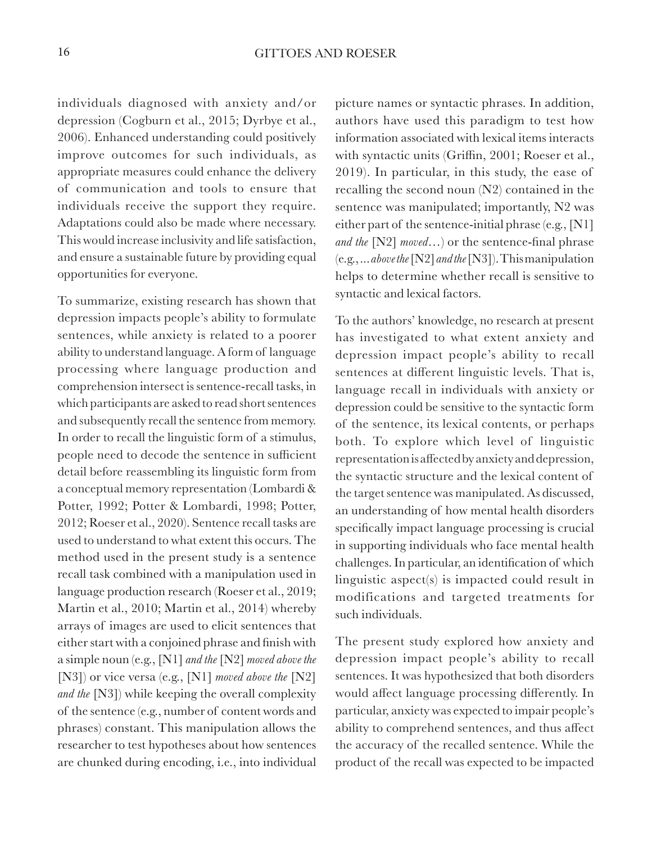individuals diagnosed with anxiety and/or depression (Cogburn et al., 2015; Dyrbye et al., 2006). Enhanced understanding could positively improve outcomes for such individuals, as appropriate measures could enhance the delivery of communication and tools to ensure that individuals receive the support they require. Adaptations could also be made where necessary. This would increase inclusivity and life satisfaction, and ensure a sustainable future by providing equal opportunities for everyone.

To summarize, existing research has shown that depression impacts people's ability to formulate sentences, while anxiety is related to a poorer ability to understand language. A form of language processing where language production and comprehension intersect is sentence-recall tasks, in which participants are asked to read short sentences and subsequently recall the sentence from memory. In order to recall the linguistic form of a stimulus, people need to decode the sentence in sufficient detail before reassembling its linguistic form from a conceptual memory representation (Lombardi & Potter, 1992; Potter & Lombardi, 1998; Potter, 2012; Roeser et al., 2020). Sentence recall tasks are used to understand to what extent this occurs. The method used in the present study is a sentence recall task combined with a manipulation used in language production research (Roeser et al., 2019; Martin et al., 2010; Martin et al., 2014) whereby arrays of images are used to elicit sentences that either start with a conjoined phrase and finish with a simple noun (e.g., [N1] *and the* [N2] *moved above the* [N3]) or vice versa (e.g., [N1] *moved above the* [N2] *and the* [N3]) while keeping the overall complexity of the sentence (e.g., number of content words and phrases) constant. This manipulation allows the researcher to test hypotheses about how sentences are chunked during encoding, i.e., into individual

picture names or syntactic phrases. In addition, authors have used this paradigm to test how information associated with lexical items interacts with syntactic units (Griffin, 2001; Roeser et al., 2019). In particular, in this study, the ease of recalling the second noun (N2) contained in the sentence was manipulated; importantly, N2 was either part of the sentence-initial phrase (e.g., [N1] *and the* [N2] *moved…*) or the sentence-final phrase (e.g., ... *above the* [N2] *and the* [N3]). This manipulation helps to determine whether recall is sensitive to syntactic and lexical factors.

To the authors' knowledge, no research at present has investigated to what extent anxiety and depression impact people's ability to recall sentences at different linguistic levels. That is, language recall in individuals with anxiety or depression could be sensitive to the syntactic form of the sentence, its lexical contents, or perhaps both. To explore which level of linguistic representation is affected by anxiety and depression, the syntactic structure and the lexical content of the target sentence was manipulated. As discussed, an understanding of how mental health disorders specifically impact language processing is crucial in supporting individuals who face mental health challenges. In particular, an identification of which linguistic aspect(s) is impacted could result in modifications and targeted treatments for such individuals.

The present study explored how anxiety and depression impact people's ability to recall sentences. It was hypothesized that both disorders would affect language processing differently. In particular, anxiety was expected to impair people's ability to comprehend sentences, and thus affect the accuracy of the recalled sentence. While the product of the recall was expected to be impacted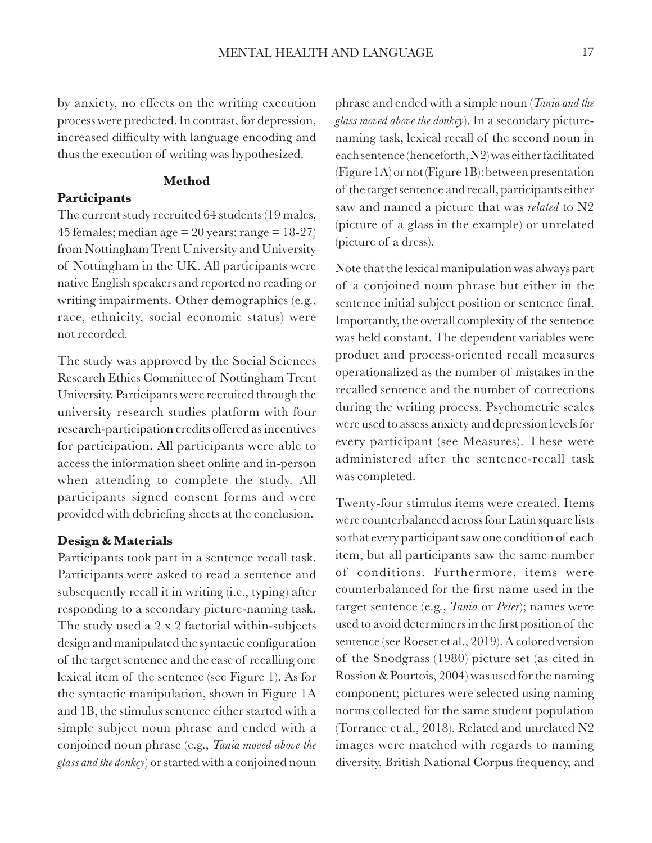by anxiety, no effects on the writing execution process were predicted. In contrast, for depression, increased difficulty with language encoding and thus the execution of writing was hypothesized.

#### **Method**

#### **Participants**

The current study recruited 64 students (19 males, 45 females; median age  $= 20$  years; range  $= 18-27$ from Nottingham Trent University and University of Nottingham in the UK. All participants were native English speakers and reported no reading or writing impairments. Other demographics (e.g., race, ethnicity, social economic status) were not recorded.

The study was approved by the Social Sciences Research Ethics Committee of Nottingham Trent University. Participants were recruited through the university research studies platform with four research-participation credits offered as incentives for participation. All participants were able to access the information sheet online and in-person when attending to complete the study. All participants signed consent forms and were provided with debriefing sheets at the conclusion.

#### **Design & Materials**

Participants took part in a sentence recall task. Participants were asked to read a sentence and subsequently recall it in writing (i.e., typing) after responding to a secondary picture-naming task. The study used a 2 x 2 factorial within-subjects design and manipulated the syntactic configuration of the target sentence and the ease of recalling one lexical item of the sentence (see Figure 1). As for the syntactic manipulation, shown in Figure 1A and 1B, the stimulus sentence either started with a simple subject noun phrase and ended with a conjoined noun phrase (e.g., *Tania moved above the glass and the donkey*) or started with a conjoined noun

phrase and ended with a simple noun (*Tania and the glass moved above the donkey*). In a secondary picturenaming task, lexical recall of the second noun in each sentence (henceforth, N2) was either facilitated (Figure 1A) or not (Figure 1B): between presentation of the target sentence and recall, participants either saw and named a picture that was *related* to N2 (picture of a glass in the example) or unrelated (picture of a dress).

Note that the lexical manipulation was always part of a conjoined noun phrase but either in the sentence initial subject position or sentence final. Importantly, the overall complexity of the sentence was held constant. The dependent variables were product and process-oriented recall measures operationalized as the number of mistakes in the recalled sentence and the number of corrections during the writing process. Psychometric scales were used to assess anxiety and depression levels for every participant (see Measures). These were administered after the sentence-recall task was completed.

Twenty-four stimulus items were created. Items were counterbalanced across four Latin square lists so that every participant saw one condition of each item, but all participants saw the same number of conditions. Furthermore, items were counterbalanced for the first name used in the target sentence (e.g., *Tania* or *Peter*); names were used to avoid determiners in the first position of the sentence (see Roeser et al., 2019). A colored version of the Snodgrass (1980) picture set (as cited in Rossion & Pourtois, 2004) was used for the naming component; pictures were selected using naming norms collected for the same student population (Torrance et al., 2018). Related and unrelated N2 images were matched with regards to naming diversity, British National Corpus frequency, and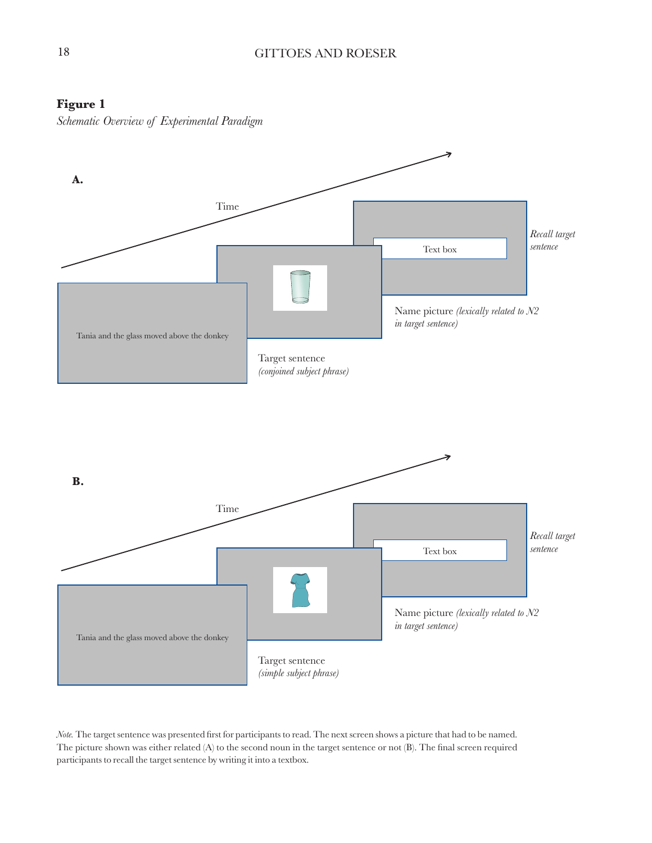## **Figure 1**

*Schematic Overview of Experimental Paradigm*



*Note.* The target sentence was presented first for participants to read. The next screen shows a picture that had to be named. The picture shown was either related (A) to the second noun in the target sentence or not (B). The final screen required participants to recall the target sentence by writing it into a textbox.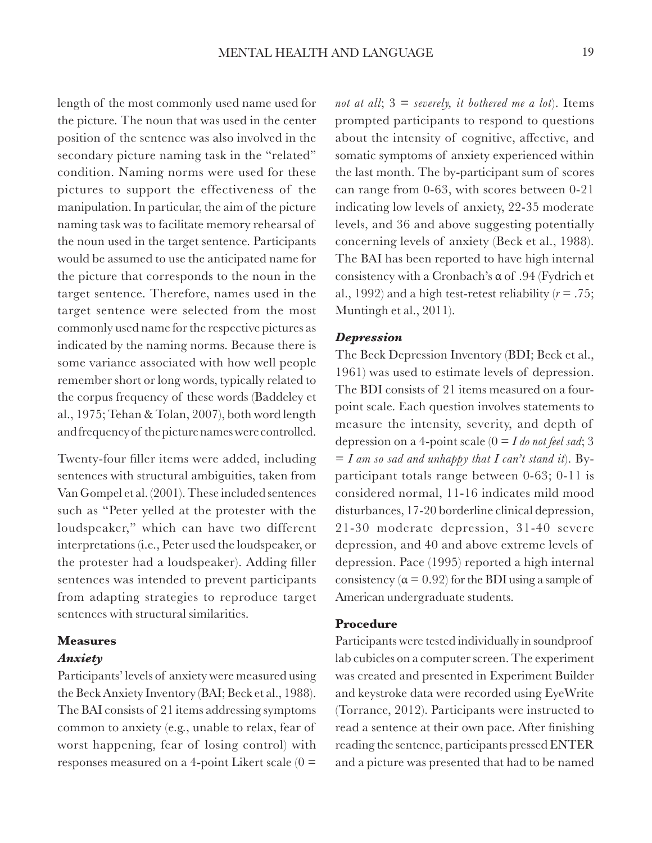length of the most commonly used name used for the picture. The noun that was used in the center position of the sentence was also involved in the secondary picture naming task in the "related" condition. Naming norms were used for these pictures to support the effectiveness of the manipulation. In particular, the aim of the picture naming task was to facilitate memory rehearsal of the noun used in the target sentence. Participants would be assumed to use the anticipated name for the picture that corresponds to the noun in the target sentence. Therefore, names used in the target sentence were selected from the most commonly used name for the respective pictures as indicated by the naming norms. Because there is some variance associated with how well people remember short or long words, typically related to the corpus frequency of these words (Baddeley et al., 1975; Tehan & Tolan, 2007), both word length and frequency of the picture names were controlled.

Twenty-four filler items were added, including sentences with structural ambiguities, taken from Van Gompel et al. (2001). These included sentences such as "Peter yelled at the protester with the loudspeaker," which can have two different interpretations (i.e., Peter used the loudspeaker, or the protester had a loudspeaker). Adding filler sentences was intended to prevent participants from adapting strategies to reproduce target sentences with structural similarities.

#### **Measures**

#### *Anxiety*

Participants' levels of anxiety were measured using the Beck Anxiety Inventory (BAI; Beck et al., 1988). The BAI consists of 21 items addressing symptoms common to anxiety (e.g., unable to relax, fear of worst happening, fear of losing control) with responses measured on a 4-point Likert scale  $(0 =$ 

*not at all*; 3 = *severely, it bothered me a lot*). Items prompted participants to respond to questions about the intensity of cognitive, affective, and somatic symptoms of anxiety experienced within the last month. The by-participant sum of scores can range from 0-63, with scores between 0-21 indicating low levels of anxiety, 22-35 moderate levels, and 36 and above suggesting potentially concerning levels of anxiety (Beck et al., 1988). The BAI has been reported to have high internal consistency with a Cronbach's α of .94 (Fydrich et al., 1992) and a high test-retest reliability  $(r = .75)$ ; Muntingh et al., 2011).

#### *Depression*

The Beck Depression Inventory (BDI; Beck et al., 1961) was used to estimate levels of depression. The BDI consists of 21 items measured on a fourpoint scale. Each question involves statements to measure the intensity, severity, and depth of depression on a 4-point scale (0 = *I do not feel sad*; 3  $= I$  am so sad and unhappy that I can't stand it). Byparticipant totals range between 0-63; 0-11 is considered normal, 11-16 indicates mild mood disturbances, 17-20 borderline clinical depression, 21-30 moderate depression, 31-40 severe depression, and 40 and above extreme levels of depression. Pace (1995) reported a high internal consistency ( $\alpha$  = 0.92) for the BDI using a sample of American undergraduate students.

#### **Procedure**

Participants were tested individually in soundproof lab cubicles on a computer screen. The experiment was created and presented in Experiment Builder and keystroke data were recorded using EyeWrite (Torrance, 2012). Participants were instructed to read a sentence at their own pace. After finishing reading the sentence, participants pressed ENTER and a picture was presented that had to be named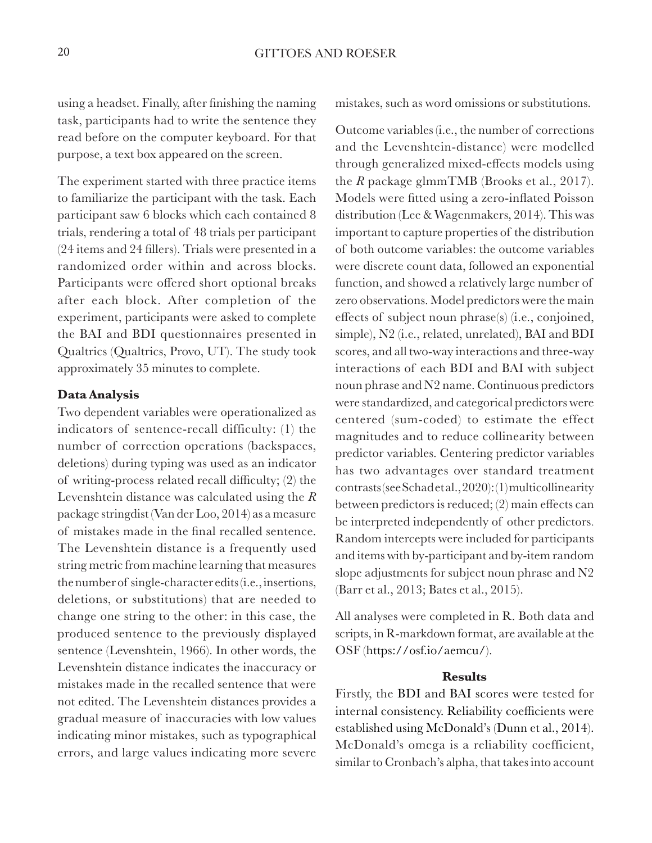using a headset. Finally, after finishing the naming task, participants had to write the sentence they read before on the computer keyboard. For that purpose, a text box appeared on the screen.

The experiment started with three practice items to familiarize the participant with the task. Each participant saw 6 blocks which each contained 8 trials, rendering a total of 48 trials per participant (24 items and 24 fillers). Trials were presented in a randomized order within and across blocks. Participants were offered short optional breaks after each block. After completion of the experiment, participants were asked to complete the BAI and BDI questionnaires presented in Qualtrics (Qualtrics, Provo, UT). The study took approximately 35 minutes to complete.

#### **Data Analysis**

Two dependent variables were operationalized as indicators of sentence-recall difficulty: (1) the number of correction operations (backspaces, deletions) during typing was used as an indicator of writing-process related recall difficulty; (2) the Levenshtein distance was calculated using the *R*  package stringdist (Van der Loo, 2014) as a measure of mistakes made in the final recalled sentence. The Levenshtein distance is a frequently used string metric from machine learning that measures the number of single-character edits (i.e., insertions, deletions, or substitutions) that are needed to change one string to the other: in this case, the produced sentence to the previously displayed sentence (Levenshtein, 1966). In other words, the Levenshtein distance indicates the inaccuracy or mistakes made in the recalled sentence that were not edited. The Levenshtein distances provides a gradual measure of inaccuracies with low values indicating minor mistakes, such as typographical errors, and large values indicating more severe

mistakes, such as word omissions or substitutions.

Outcome variables (i.e., the number of corrections and the Levenshtein-distance) were modelled through generalized mixed-effects models using the *R* package glmmTMB (Brooks et al., 2017). Models were fitted using a zero-inflated Poisson distribution (Lee & Wagenmakers, 2014). This was important to capture properties of the distribution of both outcome variables: the outcome variables were discrete count data, followed an exponential function, and showed a relatively large number of zero observations. Model predictors were the main effects of subject noun phrase(s) (i.e., conjoined, simple), N2 (i.e., related, unrelated), BAI and BDI scores, and all two-way interactions and three-way interactions of each BDI and BAI with subject noun phrase and N2 name. Continuous predictors were standardized, and categorical predictors were centered (sum-coded) to estimate the effect magnitudes and to reduce collinearity between predictor variables. Centering predictor variables has two advantages over standard treatment contrasts (see Schad et al., 2020): (1) multicollinearity between predictors is reduced; (2) main effects can be interpreted independently of other predictors. Random intercepts were included for participants and items with by-participant and by-item random slope adjustments for subject noun phrase and N2 (Barr et al., 2013; Bates et al., 2015).

All analyses were completed in R. Both data and scripts, in R-markdown format, are available at the OSF (https://osf.io/aemcu/).

#### **Results**

Firstly, the BDI and BAI scores were tested for internal consistency. Reliability coefficients were established using McDonald's (Dunn et al., 2014). McDonald's omega is a reliability coefficient, similar to Cronbach's alpha, that takes into account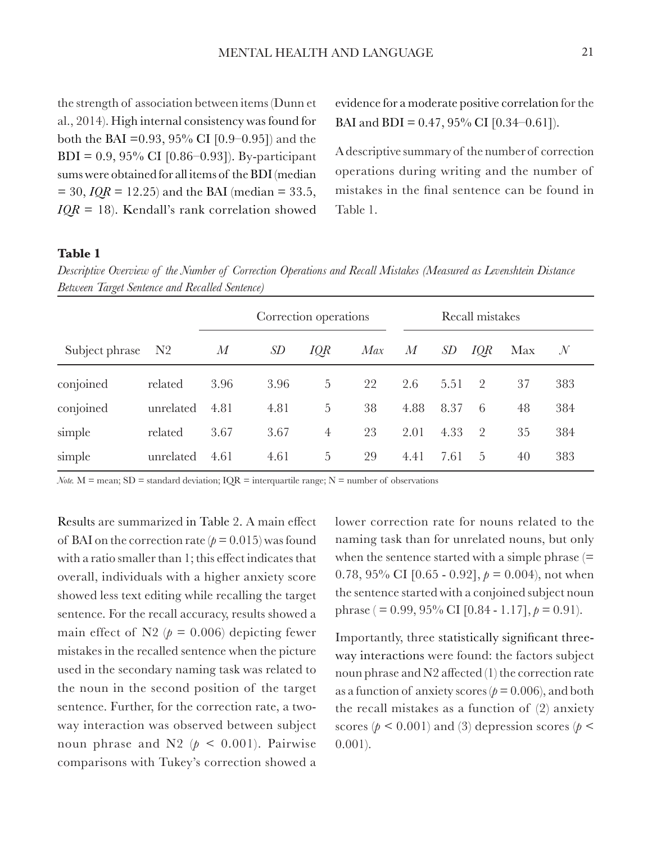the strength of association between items (Dunn et al., 2014). High internal consistency was found for both the BAI =  $0.93$ ,  $95\%$  CI [ $0.9 - 0.95$ ] and the BDI = 0.9, 95% CI [0.86–0.93]). By-participant sums were obtained for all items of the BDI (median  $= 30, IQR = 12.25$  and the BAI (median  $= 33.5$ , *IQR* = 18). Kendall's rank correlation showed evidence for a moderate positive correlation for the BAI and BDI =  $0.47$ ,  $95\%$  CI [ $0.34-0.61$ ]).

A descriptive summary of the number of correction operations during writing and the number of mistakes in the final sentence can be found in Table 1.

### **Table 1**

*Descriptive Overview of the Number of Correction Operations and Recall Mistakes (Measured as Levenshtein Distance Between Target Sentence and Recalled Sentence)*

|                |                | Correction operations |      |                | Recall mistakes |       |      |                |     |               |
|----------------|----------------|-----------------------|------|----------------|-----------------|-------|------|----------------|-----|---------------|
| Subject phrase | N <sub>2</sub> | M                     | SD   | IQR            | Max             | $\,M$ | SD   | IQR            | Max | $\mathcal{N}$ |
| conjoined      | related        | 3.96                  | 3.96 | 5              | 22              | 2.6   | 5.51 | $\mathcal{P}$  | 37  | 383           |
| conjoined      | unrelated      | 4.81                  | 4.81 | 5              | 38              | 4.88  | 8.37 | 6              | 48  | 384           |
| simple         | related        | 3.67                  | 3.67 | $\overline{4}$ | 23              | 2.01  | 4.33 | $\overline{2}$ | 35  | 384           |
| simple         | unrelated      | 4.61                  | 4.61 | 5              | 29              | 4.41  | 7.61 | 5              | 40  | 383           |

*Note.*  $M =$  mean;  $SD =$  standard deviation;  $IQR =$  interquartile range;  $N =$  number of observations

Results are summarized in Table 2. A main effect of BAI on the correction rate  $(p = 0.015)$  was found with a ratio smaller than 1; this effect indicates that overall, individuals with a higher anxiety score showed less text editing while recalling the target sentence. For the recall accuracy, results showed a main effect of N2 ( $p = 0.006$ ) depicting fewer mistakes in the recalled sentence when the picture used in the secondary naming task was related to the noun in the second position of the target sentence. Further, for the correction rate, a twoway interaction was observed between subject noun phrase and N2 ( $p < 0.001$ ). Pairwise comparisons with Tukey's correction showed a lower correction rate for nouns related to the naming task than for unrelated nouns, but only when the sentence started with a simple phrase  $(=$ 0.78, 95% CI  $[0.65 - 0.92]$ ,  $p = 0.004$ ), not when the sentence started with a conjoined subject noun phrase ( $= 0.99, 95\%$  CI [0.84 - 1.17],  $p = 0.91$ ).

Importantly, three statistically significant threeway interactions were found: the factors subject noun phrase and N2 affected (1) the correction rate as a function of anxiety scores ( $p = 0.006$ ), and both the recall mistakes as a function of (2) anxiety scores ( $p < 0.001$ ) and (3) depression scores ( $p <$ 0.001).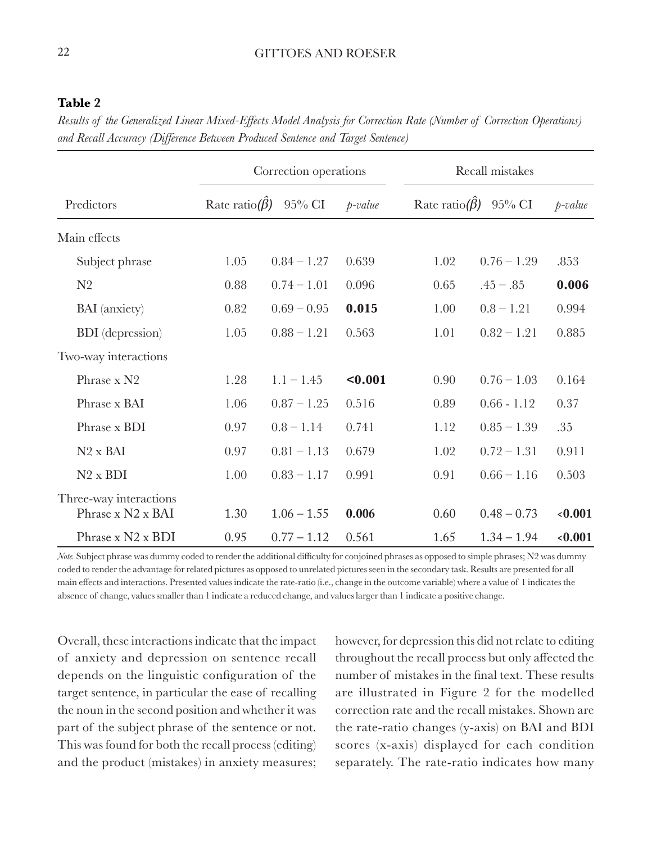## 22 GITTOES AND ROESER

## **Table 2**

*Results of the Generalized Linear Mixed-Effects Model Analysis for Correction Rate (Number of Correction Operations) and Recall Accuracy (Difference Between Produced Sentence and Target Sentence)*

|                                             |                             | Correction operations |            | Recall mistakes                    |               |            |  |
|---------------------------------------------|-----------------------------|-----------------------|------------|------------------------------------|---------------|------------|--|
| Predictors                                  | Rate ratio( $\hat{\beta}$ ) | $95\%$ CI             | $p$ -value | Rate ratio( $\hat{\beta}$ ) 95% CI |               | $p$ -value |  |
| Main effects                                |                             |                       |            |                                    |               |            |  |
| Subject phrase                              | 1.05                        | $0.84 - 1.27$         | 0.639      | 1.02                               | $0.76 - 1.29$ | .853       |  |
| N <sub>2</sub>                              | 0.88                        | $0.74 - 1.01$         | 0.096      | 0.65                               | $.45-.85$     | 0.006      |  |
| <b>BAI</b> (anxiety)                        | 0.82                        | $0.69 - 0.95$         | 0.015      | 1.00                               | $0.8 - 1.21$  | 0.994      |  |
| <b>BDI</b> (depression)                     | 1.05                        | $0.88 - 1.21$         | 0.563      | 1.01                               | $0.82 - 1.21$ | 0.885      |  |
| Two-way interactions                        |                             |                       |            |                                    |               |            |  |
| Phrase x N2                                 | 1.28                        | $1.1 - 1.45$          | $0.001$    | 0.90                               | $0.76 - 1.03$ | 0.164      |  |
| Phrase x BAI                                | 1.06                        | $0.87 - 1.25$         | 0.516      | 0.89                               | $0.66 - 1.12$ | 0.37       |  |
| Phrase x BDI                                | 0.97                        | $0.8 - 1.14$          | 0.741      | 1.12                               | $0.85 - 1.39$ | .35        |  |
| $N2 \times BAI$                             | 0.97                        | $0.81 - 1.13$         | 0.679      | 1.02                               | $0.72 - 1.31$ | 0.911      |  |
| $N2 \times BDI$                             | 1.00                        | $0.83 - 1.17$         | 0.991      | 0.91                               | $0.66 - 1.16$ | 0.503      |  |
| Three-way interactions<br>Phrase x N2 x BAI | 1.30                        | $1.06 - 1.55$         | 0.006      | 0.60                               | $0.48 - 0.73$ | 0.001      |  |
| Phrase x N2 x BDI                           | 0.95                        | $0.77 - 1.12$         | 0.561      | 1.65                               | $1.34 - 1.94$ | 0.001      |  |

*Note.* Subject phrase was dummy coded to render the additional difficulty for conjoined phrases as opposed to simple phrases; N2 was dummy coded to render the advantage for related pictures as opposed to unrelated pictures seen in the secondary task. Results are presented for all main effects and interactions. Presented values indicate the rate-ratio (i.e., change in the outcome variable) where a value of 1 indicates the absence of change, values smaller than 1 indicate a reduced change, and values larger than 1 indicate a positive change.

Overall, these interactions indicate that the impact of anxiety and depression on sentence recall depends on the linguistic configuration of the target sentence, in particular the ease of recalling the noun in the second position and whether it was part of the subject phrase of the sentence or not. This was found for both the recall process (editing) and the product (mistakes) in anxiety measures;

however, for depression this did not relate to editing throughout the recall process but only affected the number of mistakes in the final text. These results are illustrated in Figure 2 for the modelled correction rate and the recall mistakes. Shown are the rate-ratio changes (y-axis) on BAI and BDI scores (x-axis) displayed for each condition separately. The rate-ratio indicates how many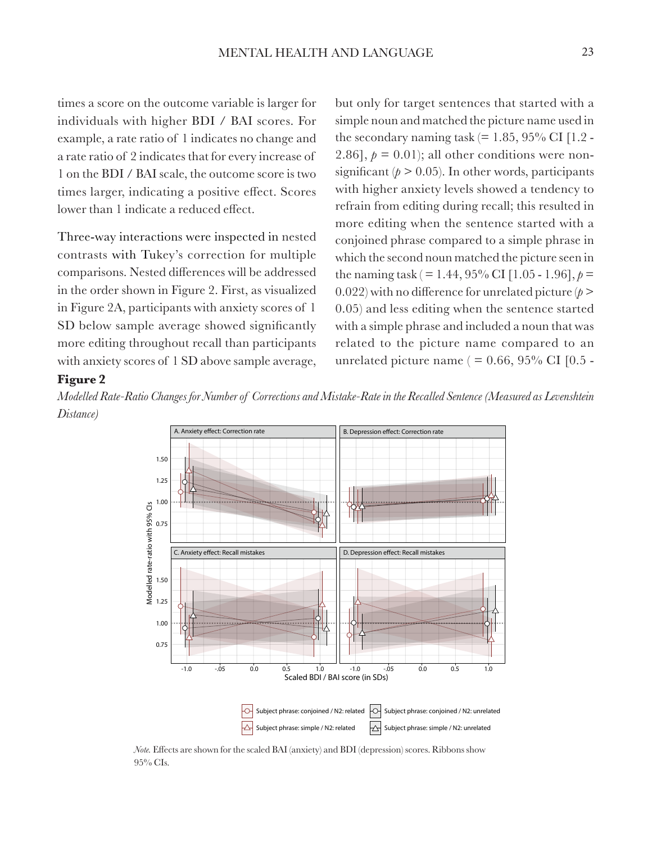times a score on the outcome variable is larger for individuals with higher BDI / BAI scores. For example, a rate ratio of 1 indicates no change and a rate ratio of 2 indicates that for every increase of 1 on the BDI / BAI scale, the outcome score is two times larger, indicating a positive effect. Scores lower than 1 indicate a reduced effect.

Three-way interactions were inspected in nested contrasts with Tukey's correction for multiple comparisons. Nested differences will be addressed in the order shown in Figure 2. First, as visualized in Figure 2A, participants with anxiety scores of 1 SD below sample average showed significantly more editing throughout recall than participants with anxiety scores of 1 SD above sample average, but only for target sentences that started with a simple noun and matched the picture name used in the secondary naming task  $(= 1.85, 95\% \text{ CI}$  [1.2 -2.86],  $p = 0.01$ ; all other conditions were nonsignificant ( $p > 0.05$ ). In other words, participants with higher anxiety levels showed a tendency to refrain from editing during recall; this resulted in more editing when the sentence started with a conjoined phrase compared to a simple phrase in which the second noun matched the picture seen in the naming task ( $= 1.44$ , 95% CI [1.05 - 1.96],  $p =$ 0.022) with no difference for unrelated picture  $(p > 0.022)$ 0.05) and less editing when the sentence started with a simple phrase and included a noun that was related to the picture name compared to an unrelated picture name ( $= 0.66, 95\%$  CI [0.5 -

#### **Figure 2**

*Modelled Rate-Ratio Changes for Number of Corrections and Mistake-Rate in the Recalled Sentence (Measured as Levenshtein Distance)*



*Note.* Effects are shown for the scaled BAI (anxiety) and BDI (depression) scores. Ribbons show 95% CIs.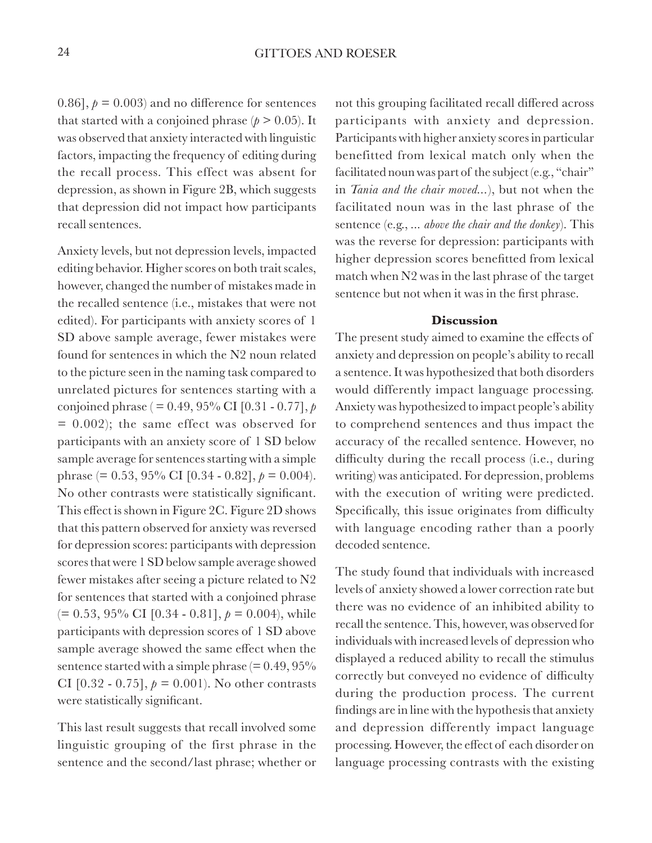0.86],  $p = 0.003$  and no difference for sentences that started with a conjoined phrase  $(p > 0.05)$ . It was observed that anxiety interacted with linguistic factors, impacting the frequency of editing during the recall process. This effect was absent for depression, as shown in Figure 2B, which suggests that depression did not impact how participants recall sentences.

Anxiety levels, but not depression levels, impacted editing behavior. Higher scores on both trait scales, however, changed the number of mistakes made in the recalled sentence (i.e., mistakes that were not edited). For participants with anxiety scores of 1 SD above sample average, fewer mistakes were found for sentences in which the N2 noun related to the picture seen in the naming task compared to unrelated pictures for sentences starting with a conjoined phrase ( = 0.49, 95% CI [0.31 - 0.77], *p*  $= 0.002$ ; the same effect was observed for participants with an anxiety score of 1 SD below sample average for sentences starting with a simple phrase (=  $0.53$ ,  $95\%$  CI [0.34 - 0.82],  $p = 0.004$ ). No other contrasts were statistically significant. This effect is shown in Figure 2C. Figure 2D shows that this pattern observed for anxiety was reversed for depression scores: participants with depression scores that were 1 SD below sample average showed fewer mistakes after seeing a picture related to N2 for sentences that started with a conjoined phrase  $(= 0.53, 95\% \text{ CI} [0.34 - 0.81], p = 0.004)$ , while participants with depression scores of 1 SD above sample average showed the same effect when the sentence started with a simple phrase  $(= 0.49, 95\%$ CI  $[0.32 - 0.75]$ ,  $p = 0.001$ ). No other contrasts were statistically significant.

This last result suggests that recall involved some linguistic grouping of the first phrase in the sentence and the second/last phrase; whether or not this grouping facilitated recall differed across participants with anxiety and depression. Participants with higher anxiety scores in particular benefitted from lexical match only when the facilitated noun was part of the subject (e.g., "chair" in *Tania and the chair moved...*), but not when the facilitated noun was in the last phrase of the sentence (e.g., *... above the chair and the donkey*). This was the reverse for depression: participants with higher depression scores benefitted from lexical match when N2 was in the last phrase of the target sentence but not when it was in the first phrase.

#### **Discussion**

The present study aimed to examine the effects of anxiety and depression on people's ability to recall a sentence. It was hypothesized that both disorders would differently impact language processing. Anxiety was hypothesized to impact people's ability to comprehend sentences and thus impact the accuracy of the recalled sentence. However, no difficulty during the recall process (i.e., during writing) was anticipated. For depression, problems with the execution of writing were predicted. Specifically, this issue originates from difficulty with language encoding rather than a poorly decoded sentence.

The study found that individuals with increased levels of anxiety showed a lower correction rate but there was no evidence of an inhibited ability to recall the sentence. This, however, was observed for individuals with increased levels of depression who displayed a reduced ability to recall the stimulus correctly but conveyed no evidence of difficulty during the production process. The current findings are in line with the hypothesis that anxiety and depression differently impact language processing. However, the effect of each disorder on language processing contrasts with the existing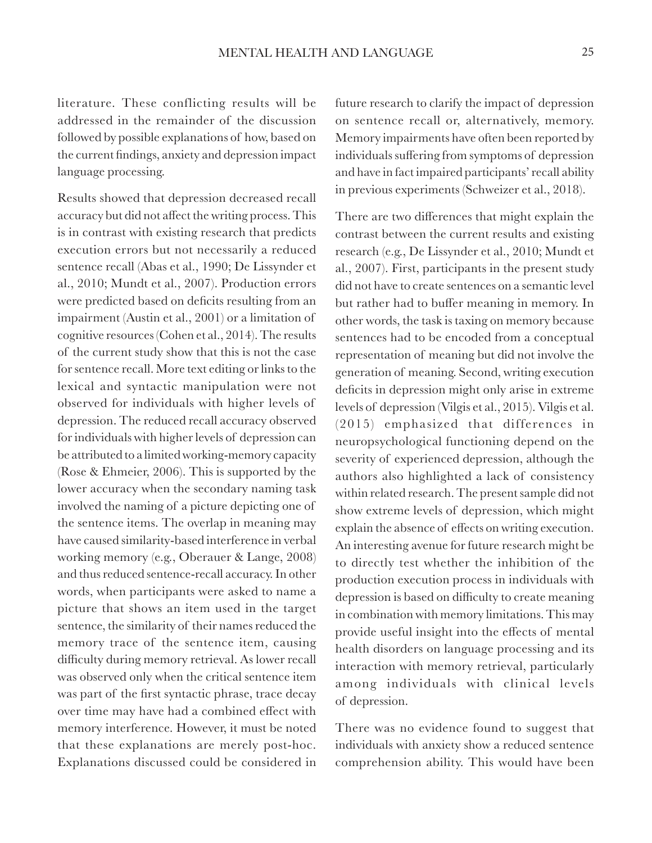literature. These conflicting results will be addressed in the remainder of the discussion followed by possible explanations of how, based on the current findings, anxiety and depression impact language processing.

Results showed that depression decreased recall accuracy but did not affect the writing process. This is in contrast with existing research that predicts execution errors but not necessarily a reduced sentence recall (Abas et al., 1990; De Lissynder et al., 2010; Mundt et al., 2007). Production errors were predicted based on deficits resulting from an impairment (Austin et al., 2001) or a limitation of cognitive resources (Cohen et al., 2014). The results of the current study show that this is not the case for sentence recall. More text editing or links to the lexical and syntactic manipulation were not observed for individuals with higher levels of depression. The reduced recall accuracy observed for individuals with higher levels of depression can be attributed to a limited working-memory capacity (Rose & Ehmeier, 2006). This is supported by the lower accuracy when the secondary naming task involved the naming of a picture depicting one of the sentence items. The overlap in meaning may have caused similarity-based interference in verbal working memory (e.g., Oberauer & Lange, 2008) and thus reduced sentence-recall accuracy. In other words, when participants were asked to name a picture that shows an item used in the target sentence, the similarity of their names reduced the memory trace of the sentence item, causing difficulty during memory retrieval. As lower recall was observed only when the critical sentence item was part of the first syntactic phrase, trace decay over time may have had a combined effect with memory interference. However, it must be noted that these explanations are merely post-hoc. Explanations discussed could be considered in

future research to clarify the impact of depression on sentence recall or, alternatively, memory. Memory impairments have often been reported by individuals suffering from symptoms of depression and have in fact impaired participants' recall ability in previous experiments (Schweizer et al., 2018).

There are two differences that might explain the contrast between the current results and existing research (e.g., De Lissynder et al., 2010; Mundt et al., 2007). First, participants in the present study did not have to create sentences on a semantic level but rather had to buffer meaning in memory. In other words, the task is taxing on memory because sentences had to be encoded from a conceptual representation of meaning but did not involve the generation of meaning. Second, writing execution deficits in depression might only arise in extreme levels of depression (Vilgis et al., 2015). Vilgis et al. (2015) emphasized that differences in neuropsychological functioning depend on the severity of experienced depression, although the authors also highlighted a lack of consistency within related research. The present sample did not show extreme levels of depression, which might explain the absence of effects on writing execution. An interesting avenue for future research might be to directly test whether the inhibition of the production execution process in individuals with depression is based on difficulty to create meaning in combination with memory limitations. This may provide useful insight into the effects of mental health disorders on language processing and its interaction with memory retrieval, particularly among individuals with clinical levels of depression.

There was no evidence found to suggest that individuals with anxiety show a reduced sentence comprehension ability. This would have been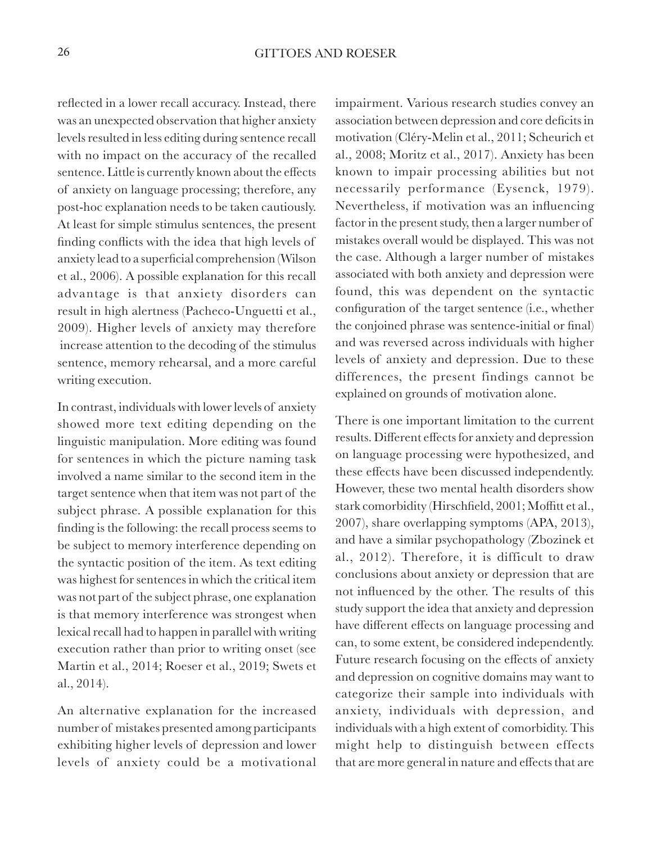reflected in a lower recall accuracy. Instead, there was an unexpected observation that higher anxiety levels resulted in less editing during sentence recall with no impact on the accuracy of the recalled sentence. Little is currently known about the effects of anxiety on language processing; therefore, any post-hoc explanation needs to be taken cautiously. At least for simple stimulus sentences, the present finding conflicts with the idea that high levels of anxiety lead to a superficial comprehension (Wilson et al., 2006). A possible explanation for this recall advantage is that anxiety disorders can result in high alertness (Pacheco-Unguetti et al., 2009). Higher levels of anxiety may therefore increase attention to the decoding of the stimulus sentence, memory rehearsal, and a more careful writing execution.

In contrast, individuals with lower levels of anxiety showed more text editing depending on the linguistic manipulation. More editing was found for sentences in which the picture naming task involved a name similar to the second item in the target sentence when that item was not part of the subject phrase. A possible explanation for this finding is the following: the recall process seems to be subject to memory interference depending on the syntactic position of the item. As text editing was highest for sentences in which the critical item was not part of the subject phrase, one explanation is that memory interference was strongest when lexical recall had to happen in parallel with writing execution rather than prior to writing onset (see Martin et al., 2014; Roeser et al., 2019; Swets et al., 2014).

An alternative explanation for the increased number of mistakes presented among participants exhibiting higher levels of depression and lower levels of anxiety could be a motivational impairment. Various research studies convey an association between depression and core deficits in motivation (Cléry-Melin et al., 2011; Scheurich et al., 2008; Moritz et al., 2017). Anxiety has been known to impair processing abilities but not necessarily performance (Eysenck, 1979). Nevertheless, if motivation was an influencing factor in the present study, then a larger number of mistakes overall would be displayed. This was not the case. Although a larger number of mistakes associated with both anxiety and depression were found, this was dependent on the syntactic configuration of the target sentence (i.e., whether the conjoined phrase was sentence-initial or final) and was reversed across individuals with higher levels of anxiety and depression. Due to these differences, the present findings cannot be explained on grounds of motivation alone.

There is one important limitation to the current results. Different effects for anxiety and depression on language processing were hypothesized, and these effects have been discussed independently. However, these two mental health disorders show stark comorbidity (Hirschfield, 2001; Moffitt et al., 2007), share overlapping symptoms (APA, 2013), and have a similar psychopathology (Zbozinek et al., 2012). Therefore, it is difficult to draw conclusions about anxiety or depression that are not influenced by the other. The results of this study support the idea that anxiety and depression have different effects on language processing and can, to some extent, be considered independently. Future research focusing on the effects of anxiety and depression on cognitive domains may want to categorize their sample into individuals with anxiety, individuals with depression, and individuals with a high extent of comorbidity. This might help to distinguish between effects that are more general in nature and effects that are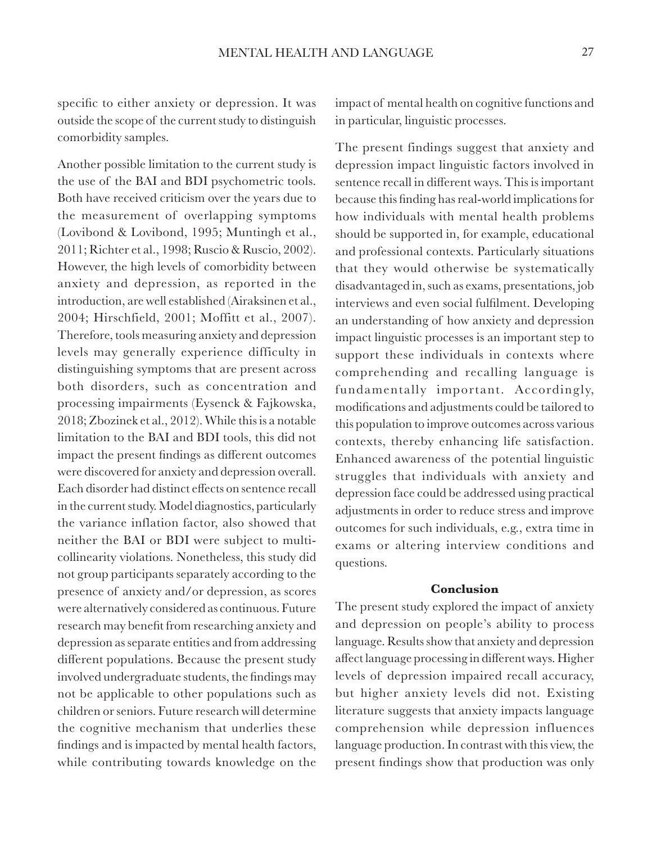specific to either anxiety or depression. It was outside the scope of the current study to distinguish comorbidity samples.

Another possible limitation to the current study is the use of the BAI and BDI psychometric tools. Both have received criticism over the years due to the measurement of overlapping symptoms (Lovibond & Lovibond, 1995; Muntingh et al., 2011; Richter et al., 1998; Ruscio & Ruscio, 2002). However, the high levels of comorbidity between anxiety and depression, as reported in the introduction, are well established (Airaksinen et al., 2004; Hirschfield, 2001; Moffitt et al., 2007). Therefore, tools measuring anxiety and depression levels may generally experience difficulty in distinguishing symptoms that are present across both disorders, such as concentration and processing impairments (Eysenck & Fajkowska, 2018; Zbozinek et al., 2012). While this is a notable limitation to the BAI and BDI tools, this did not impact the present findings as different outcomes were discovered for anxiety and depression overall. Each disorder had distinct effects on sentence recall in the current study. Model diagnostics, particularly the variance inflation factor, also showed that neither the BAI or BDI were subject to multicollinearity violations. Nonetheless, this study did not group participants separately according to the presence of anxiety and/or depression, as scores were alternatively considered as continuous. Future research may benefit from researching anxiety and depression as separate entities and from addressing different populations. Because the present study involved undergraduate students, the findings may not be applicable to other populations such as children or seniors. Future research will determine the cognitive mechanism that underlies these findings and is impacted by mental health factors, while contributing towards knowledge on the

impact of mental health on cognitive functions and in particular, linguistic processes.

The present findings suggest that anxiety and depression impact linguistic factors involved in sentence recall in different ways. This is important because this finding has real-world implications for how individuals with mental health problems should be supported in, for example, educational and professional contexts. Particularly situations that they would otherwise be systematically disadvantaged in, such as exams, presentations, job interviews and even social fulfilment. Developing an understanding of how anxiety and depression impact linguistic processes is an important step to support these individuals in contexts where comprehending and recalling language is fundamentally important. Accordingly, modifications and adjustments could be tailored to this population to improve outcomes across various contexts, thereby enhancing life satisfaction. Enhanced awareness of the potential linguistic struggles that individuals with anxiety and depression face could be addressed using practical adjustments in order to reduce stress and improve outcomes for such individuals, e.g., extra time in exams or altering interview conditions and questions.

#### **Conclusion**

The present study explored the impact of anxiety and depression on people's ability to process language. Results show that anxiety and depression affect language processing in different ways. Higher levels of depression impaired recall accuracy, but higher anxiety levels did not. Existing literature suggests that anxiety impacts language comprehension while depression influences language production. In contrast with this view, the present findings show that production was only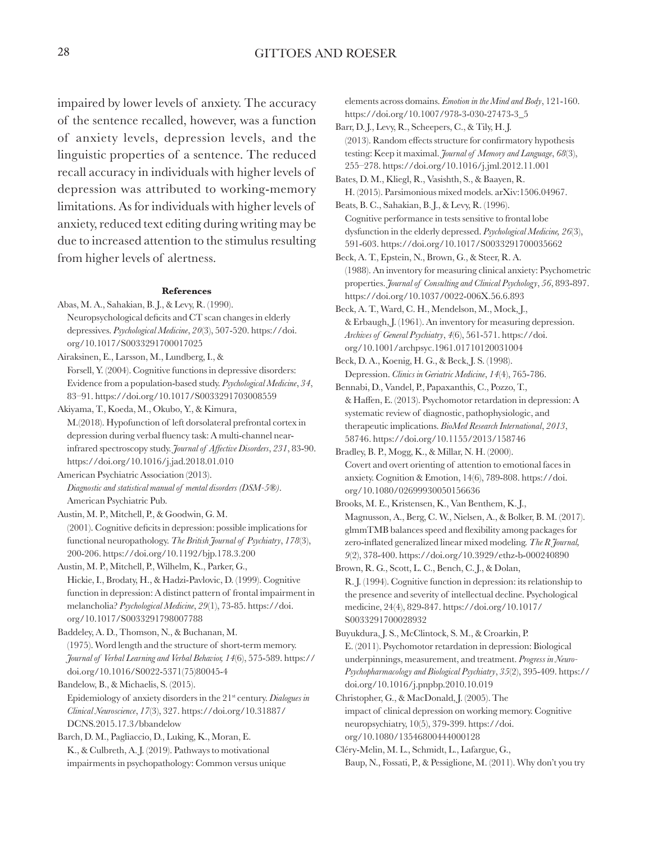impaired by lower levels of anxiety. The accuracy of the sentence recalled, however, was a function of anxiety levels, depression levels, and the linguistic properties of a sentence. The reduced recall accuracy in individuals with higher levels of depression was attributed to working-memory limitations. As for individuals with higher levels of anxiety, reduced text editing during writing may be due to increased attention to the stimulus resulting from higher levels of alertness.

#### **References**

- Abas, M. A., Sahakian, B. J., & Levy, R. (1990). Neuropsychological deficits and CT scan changes in elderly depressives. *Psychological Medicine*, *20*(3), 507-520. https://doi. org/10.1017/S0033291700017025
- Airaksinen, E., Larsson, M., Lundberg, I., & Forsell, Y. (2004). Cognitive functions in depressive disorders: Evidence from a population-based study. *Psychological Medicine*, *34*, 83–91. https://doi.org/10.1017/S0033291703008559
- Akiyama, T., Koeda, M., Okubo, Y., & Kimura, M.(2018). Hypofunction of left dorsolateral prefrontal cortex in depression during verbal fluency task: A multi-channel nearinfrared spectroscopy study. *Journal of Affective Disorders*, *231*, 83-90. https://doi.org/10.1016/j.jad.2018.01.010
- American Psychiatric Association (2013). *Diagnostic and statistical manual of mental disorders (DSM-5®)*. American Psychiatric Pub.
- Austin, M. P., Mitchell, P., & Goodwin, G. M. (2001). Cognitive deficits in depression: possible implications for functional neuropathology. *The British Journal of Psychiatry*, *178*(3), 200-206. https://doi.org/10.1192/bjp.178.3.200
- Austin, M. P., Mitchell, P., Wilhelm, K., Parker, G., Hickie, I., Brodaty, H., & Hadzi-Pavlovic, D. (1999). Cognitive function in depression: A distinct pattern of frontal impairment in melancholia? *Psychological Medicine*, *29*(1), 73-85. https://doi. org/10.1017/S0033291798007788
- Baddeley, A. D., Thomson, N., & Buchanan, M. (1975). Word length and the structure of short-term memory. *Journal of Verbal Learning and Verbal Behavior, 14*(6), 575-589. https:// doi.org/10.1016/S0022-5371(75)80045-4
- Bandelow, B., & Michaelis, S. (2015).
- Epidemiology of anxiety disorders in the 21st century. *Dialogues in Clinical Neuroscience*, *17*(3), 327. https://doi.org/10.31887/ DCNS.2015.17.3/bbandelow
- Barch, D. M., Pagliaccio, D., Luking, K., Moran, E. K., & Culbreth, A. J. (2019). Pathways to motivational impairments in psychopathology: Common versus unique

elements across domains. *Emotion in the Mind and Body*, 121-160. https://doi.org/10.1007/978-3-030-27473-3\_5

- Barr, D. J., Levy, R., Scheepers, C., & Tily, H. J. (2013). Random effects structure for confirmatory hypothesis testing: Keep it maximal. *Journal of Memory and Language*, *68*(3), 255–278. https://doi.org/10.1016/j.jml.2012.11.001
- Bates, D. M., Kliegl, R., Vasishth, S., & Baayen, R. H. (2015). Parsimonious mixed models. arXiv:1506.04967.
- Beats, B. C., Sahakian, B. J., & Levy, R. (1996). Cognitive performance in tests sensitive to frontal lobe dysfunction in the elderly depressed. *Psychological Medicine, 26*(3), 591-603. https://doi.org/10.1017/S0033291700035662
- Beck, A. T., Epstein, N., Brown, G., & Steer, R. A. (1988). An inventory for measuring clinical anxiety: Psychometric properties. *Journal of Consulting and Clinical Psychology*, *56*, 893-897. https://doi.org/10.1037/0022-006X.56.6.893
- Beck, A. T., Ward, C. H., Mendelson, M., Mock, J., & Erbaugh, J. (1961). An inventory for measuring depression. *Archives of General Psychiatry*, *4*(6), 561-571. https://doi. org/10.1001/archpsyc.1961.01710120031004
- Beck, D. A., Koenig, H. G., & Beck, J. S. (1998). Depression. *Clinics in Geriatric Medicine*, *14*(4), 765-786.
- Bennabi, D., Vandel, P., Papaxanthis, C., Pozzo, T., & Haffen, E. (2013). Psychomotor retardation in depression: A systematic review of diagnostic, pathophysiologic, and therapeutic implications. *BioMed Research International*, *2013*, 58746. https://doi.org/10.1155/2013/158746
- Bradley, B. P., Mogg, K., & Millar, N. H. (2000). Covert and overt orienting of attention to emotional faces in anxiety. Cognition & Emotion, 14(6), 789-808. https://doi. org/10.1080/02699930050156636
- Brooks, M. E., Kristensen, K., Van Benthem, K. J., Magnusson, A., Berg, C. W., Nielsen, A., & Bolker, B. M. (2017). glmmTMB balances speed and flexibility among packages for zero-inflated generalized linear mixed modeling. *The R Journal, 9*(2), 378-400. https://doi.org/10.3929/ethz-b-000240890
- Brown, R. G., Scott, L. C., Bench, C. J., & Dolan, R. J. (1994). Cognitive function in depression: its relationship to the presence and severity of intellectual decline. Psychological medicine, 24(4), 829-847. https://doi.org/10.1017/ S0033291700028932
- Buyukdura, J. S., McClintock, S. M., & Croarkin, P. E. (2011). Psychomotor retardation in depression: Biological underpinnings, measurement, and treatment. *Progress in Neuro-Psychopharmacology and Biological Psychiatry*, *35*(2), 395-409. https:// doi.org/10.1016/j.pnpbp.2010.10.019
- Christopher, G., & MacDonald, J. (2005). The impact of clinical depression on working memory. Cognitive neuropsychiatry, 10(5), 379-399. https://doi. org/10.1080/13546800444000128
- Cléry-Melin, M. L., Schmidt, L., Lafargue, G., Baup, N., Fossati, P., & Pessiglione, M. (2011). Why don't you try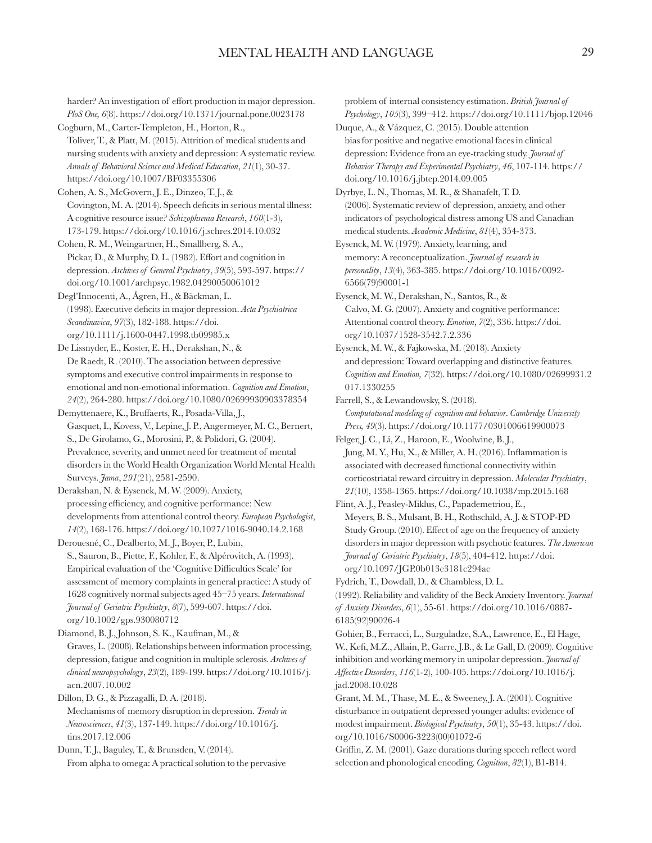harder? An investigation of effort production in major depression. *PloS One, 6*(8). https://doi.org/10.1371/journal.pone.0023178

Cogburn, M., Carter-Templeton, H., Horton, R., Toliver, T., & Platt, M. (2015). Attrition of medical students and nursing students with anxiety and depression: A systematic review. *Annals of Behavioral Science and Medical Education*, *21*(1), 30-37. https://doi.org/10.1007/BF03355306

Cohen, A. S., McGovern, J. E., Dinzeo, T. J., & Covington, M. A. (2014). Speech deficits in serious mental illness: A cognitive resource issue? *Schizophrenia Research*, *160*(1-3), 173-179. https://doi.org/10.1016/j.schres.2014.10.032

Cohen, R. M., Weingartner, H., Smallberg, S. A., Pickar, D., & Murphy, D. L. (1982). Effort and cognition in depression. *Archives of General Psychiatry*, *39*(5), 593-597. https:// doi.org/10.1001/archpsyc.1982.04290050061012

Degl'Innocenti, A., Ågren, H., & Bäckman, L. (1998). Executive deficits in major depression. *Acta Psychiatrica Scandinavica*, *97*(3), 182-188. https://doi. org/10.1111/j.1600-0447.1998.tb09985.x

De Lissnyder, E., Koster, E. H., Derakshan, N., & De Raedt, R. (2010). The association between depressive symptoms and executive control impairments in response to emotional and non-emotional information. *Cognition and Emotion*, *24*(2), 264-280. https://doi.org/10.1080/02699930903378354

Demyttenaere, K., Bruffaerts, R., Posada-Villa, J., Gasquet, I., Kovess, V., Lepine, J. P., Angermeyer, M. C., Bernert, S., De Girolamo, G., Morosini, P., & Polidori, G. (2004). Prevalence, severity, and unmet need for treatment of mental disorders in the World Health Organization World Mental Health Surveys. *Jama*, *291*(21), 2581-2590.

Derakshan, N. & Eysenck, M. W. (2009). Anxiety, processing efficiency, and cognitive performance: New developments from attentional control theory. *European Psychologist*, *14*(2), 168-176. https://doi.org/10.1027/1016-9040.14.2.168

Derouesné, C., Dealberto, M. J., Boyer, P., Lubin, S., Sauron, B., Piette, F., Kohler, F., & Alpérovitch, A. (1993). Empirical evaluation of the 'Cognitive Difficulties Scale' for assessment of memory complaints in general practice: A study of 1628 cognitively normal subjects aged 45–75 years. *International Journal of Geriatric Psychiatry*, *8*(7), 599-607. https://doi. org/10.1002/gps.930080712

Diamond, B. J., Johnson, S. K., Kaufman, M., &

Graves, L. (2008). Relationships between information processing, depression, fatigue and cognition in multiple sclerosis. *Archives of clinical neuropsychology*, *23*(2), 189-199. https://doi.org/10.1016/j. acn.2007.10.002

Dillon, D. G., & Pizzagalli, D. A. (2018).

Mechanisms of memory disruption in depression. *Trends in Neurosciences*, *41*(3), 137-149. https://doi.org/10.1016/j. tins.2017.12.006

Dunn, T. J., Baguley, T., & Brunsden, V. (2014). From alpha to omega: A practical solution to the pervasive problem of internal consistency estimation. *British Journal of Psychology*, *105*(3), 399–412. https://doi.org/10.1111/bjop.12046

Duque, A., & Vázquez, C. (2015). Double attention bias for positive and negative emotional faces in clinical depression: Evidence from an eye-tracking study. *Journal of Behavior Therapy and Experimental Psychiatry*, *46*, 107-114. https:// doi.org/10.1016/j.jbtep.2014.09.005

Dyrbye, L. N., Thomas, M. R., & Shanafelt, T. D. (2006). Systematic review of depression, anxiety, and other indicators of psychological distress among US and Canadian medical students. *Academic Medicine*, *81*(4), 354-373.

Eysenck, M. W. (1979). Anxiety, learning, and memory: A reconceptualization. *Journal of research in personality*, *13*(4), 363-385. https://doi.org/10.1016/0092- 6566(79)90001-1

Eysenck, M. W., Derakshan, N., Santos, R., & Calvo, M. G. (2007). Anxiety and cognitive performance: Attentional control theory. *Emotion*, *7*(2), 336. https://doi. org/10.1037/1528-3542.7.2.336

Eysenck, M. W., & Fajkowska, M. (2018). Anxiety and depression: Toward overlapping and distinctive features. *Cognition and Emotion, 7*(32). https://doi.org/10.1080/02699931.2 017.1330255

Farrell, S., & Lewandowsky, S. (2018). *Computational modeling of cognition and behavior*. *Cambridge University Press, 49*(3). https://doi.org/10.1177/0301006619900073

Felger, J. C., Li, Z., Haroon, E., Woolwine, B.J., Jung, M. Y., Hu, X., & Miller, A. H. (2016). Inflammation is associated with decreased functional connectivity within corticostriatal reward circuitry in depression. *Molecular Psychiatry*, *21*(10), 1358-1365. https://doi.org/10.1038/mp.2015.168

Flint, A. J., Peasley-Miklus, C., Papademetriou, E., Meyers, B. S., Mulsant, B. H., Rothschild, A. J. & STOP-PD Study Group. (2010). Effect of age on the frequency of anxiety disorders in major depression with psychotic features. *The American Journal of Geriatric Psychiatry*, *18*(5), 404-412. https://doi. org/10.1097/JGP.0b013e3181c294ac

Fydrich, T., Dowdall, D., & Chambless, D. L.

(1992). Reliability and validity of the Beck Anxiety Inventory. *Journal of Anxiety Disorders*, *6*(1), 55-61. https://doi.org/10.1016/0887- 6185(92)90026-4

Gohier, B., Ferracci, L., Surguladze, S.A., Lawrence, E., El Hage, W., Kefi, M.Z., Allain, P., Garre, J.B., & Le Gall, D. (2009). Cognitive inhibition and working memory in unipolar depression. *Journal of Affective Disorders*, *116*(1-2), 100-105. https://doi.org/10.1016/j. jad.2008.10.028

Grant, M. M., Thase, M. E., & Sweeney, J. A. (2001). Cognitive disturbance in outpatient depressed younger adults: evidence of modest impairment. *Biological Psychiatry*, *50*(1), 35-43. https://doi. org/10.1016/S0006-3223(00)01072-6

Griffin, Z. M. (2001). Gaze durations during speech reflect word selection and phonological encoding. *Cognition*, *82*(1), B1-B14.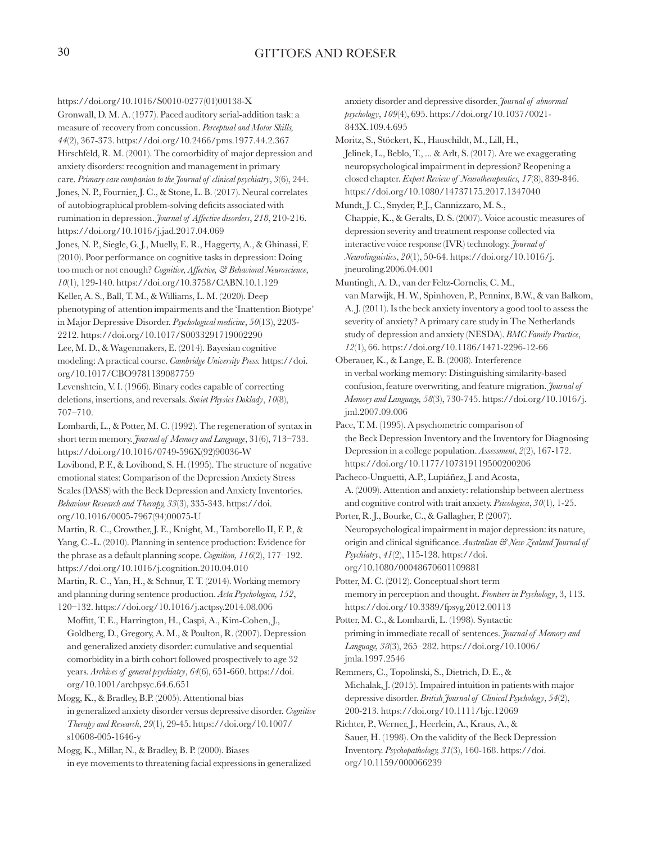https://doi.org/10.1016/S0010-0277(01)00138-X

Gronwall, D. M. A. (1977). Paced auditory serial-addition task: a measure of recovery from concussion. *Perceptual and Motor Skills, 44*(2), 367-373. https://doi.org/10.2466/pms.1977.44.2.367 Hirschfeld, R. M. (2001). The comorbidity of major depression and anxiety disorders: recognition and management in primary care. *Primary care companion to the Journal of clinical psychiatry*, *3*(6), 244. Jones, N. P., Fournier, J. C., & Stone, L. B. (2017). Neural correlates of autobiographical problem-solving deficits associated with rumination in depression. *Journal of Affective disorders*, *218*, 210-216. https://doi.org/10.1016/j.jad.2017.04.069

Jones, N. P., Siegle, G. J., Muelly, E. R., Haggerty, A., & Ghinassi, F. (2010). Poor performance on cognitive tasks in depression: Doing too much or not enough? *Cognitive, Affective, & Behavioral Neuroscience*, *10*(1), 129-140. https://doi.org/10.3758/CABN.10.1.129

Keller, A. S., Ball, T. M., & Williams, L. M. (2020). Deep phenotyping of attention impairments and the 'Inattention Biotype' in Major Depressive Disorder. *Psychological medicine*, *50*(13), 2203- 2212. https://doi.org/10.1017/S0033291719002290

Lee, M. D., & Wagenmakers, E. (2014). Bayesian cognitive modeling: A practical course. *Cambridge University Press.* https://doi. org/10.1017/CBO9781139087759

Levenshtein, V. I. (1966). Binary codes capable of correcting deletions, insertions, and reversals. *Soviet Physics Doklady*, *10*(8), 707–710.

Lombardi, L., & Potter, M. C. (1992). The regeneration of syntax in short term memory. *Journal of Memory and Language*, 31(6), 713–733. https://doi.org/10.1016/0749-596X(92)90036-W

Lovibond, P. F., & Lovibond, S. H. (1995). The structure of negative emotional states: Comparison of the Depression Anxiety Stress Scales (DASS) with the Beck Depression and Anxiety Inventories. *Behaviour Research and Therapy, 33*(3), 335-343. https://doi. org/10.1016/0005-7967(94)00075-U

Martin, R. C., Crowther, J. E., Knight, M., Tamborello II, F. P., & Yang, C.-L. (2010). Planning in sentence production: Evidence for the phrase as a default planning scope. *Cognition, 116*(2), 177–192. https://doi.org/10.1016/j.cognition.2010.04.010

Martin, R. C., Yan, H., & Schnur, T. T. (2014). Working memory and planning during sentence production. *Acta Psychologica, 152*, 120–132. https://doi.org/10.1016/j.actpsy.2014.08.006

Moffitt, T. E., Harrington, H., Caspi, A., Kim-Cohen, J., Goldberg, D., Gregory, A. M., & Poulton, R. (2007). Depression and generalized anxiety disorder: cumulative and sequential comorbidity in a birth cohort followed prospectively to age 32 years. *Archives of general psychiatry*, *64*(6), 651-660. https://doi. org/10.1001/archpsyc.64.6.651

Mogg, K., & Bradley, B.P. (2005). Attentional bias in generalized anxiety disorder versus depressive disorder. *Cognitive Therapy and Research*, *29*(1), 29-45. https://doi.org/10.1007/ s10608-005-1646-y

Mogg, K., Millar, N., & Bradley, B. P. (2000). Biases in eye movements to threatening facial expressions in generalized

anxiety disorder and depressive disorder. *Journal of abnormal psychology*, *109*(4), 695. https://doi.org/10.1037/0021- 843X.109.4.695

Moritz, S., Stöckert, K., Hauschildt, M., Lill, H., Jelinek, L., Beblo, T., ... & Arlt, S. (2017). Are we exaggerating neuropsychological impairment in depression? Reopening a closed chapter. *Expert Review of Neurotherapeutics, 17*(8), 839-846. https://doi.org/10.1080/14737175.2017.1347040

Mundt, J. C., Snyder, P. J., Cannizzaro, M. S., Chappie, K., & Geralts, D. S. (2007). Voice acoustic measures of depression severity and treatment response collected via interactive voice response (IVR) technology. *Journal of Neurolinguistics*, *20*(1), 50-64. https://doi.org/10.1016/j. jneuroling.2006.04.001

Muntingh, A. D., van der Feltz-Cornelis, C. M., van Marwijk, H. W., Spinhoven, P., Penninx, B.W., & van Balkom, A. J. (2011). Is the beck anxiety inventory a good tool to assess the severity of anxiety? A primary care study in The Netherlands study of depression and anxiety (NESDA). *BMC Family Practice*, *12*(1), 66. https://doi.org/10.1186/1471-2296-12-66

Oberauer, K., & Lange, E. B. (2008). Interference in verbal working memory: Distinguishing similarity-based confusion, feature overwriting, and feature migration. *Journal of Memory and Language, 58*(3), 730-745. https://doi.org/10.1016/j. jml.2007.09.006

Pace, T. M. (1995). A psychometric comparison of the Beck Depression Inventory and the Inventory for Diagnosing Depression in a college population. *Assessment*, *2*(2), 167-172. https://doi.org/10.1177/107319119500200206

Pacheco-Unguetti, A.P., Lupiáñez, J. and Acosta, A. (2009). Attention and anxiety: relationship between alertness and cognitive control with trait anxiety. *Psicologica*, *30*(1), 1-25.

Porter, R. J., Bourke, C., & Gallagher, P. (2007). Neuropsychological impairment in major depression: its nature, origin and clinical significance. *Australian & New Zealand Journal of Psychiatry*, *41*(2), 115-128. https://doi. org/10.1080/00048670601109881

Potter, M. C. (2012). Conceptual short term memory in perception and thought. *Frontiers in Psychology*, 3, 113. https://doi.org/10.3389/fpsyg.2012.00113

Potter, M. C., & Lombardi, L. (1998). Syntactic priming in immediate recall of sentences. *Journal of Memory and Language, 38*(3), 265–282. https://doi.org/10.1006/ jmla.1997.2546

Remmers, C., Topolinski, S., Dietrich, D. E., & Michalak, J. (2015). Impaired intuition in patients with major depressive disorder. *British Journal of Clinical Psychology*, *54*(2), 200-213. https://doi.org/10.1111/bjc.12069

Richter, P., Werner, J., Heerlein, A., Kraus, A., & Sauer, H. (1998). On the validity of the Beck Depression Inventory. *Psychopathology, 31*(3), 160-168. https://doi. org/10.1159/000066239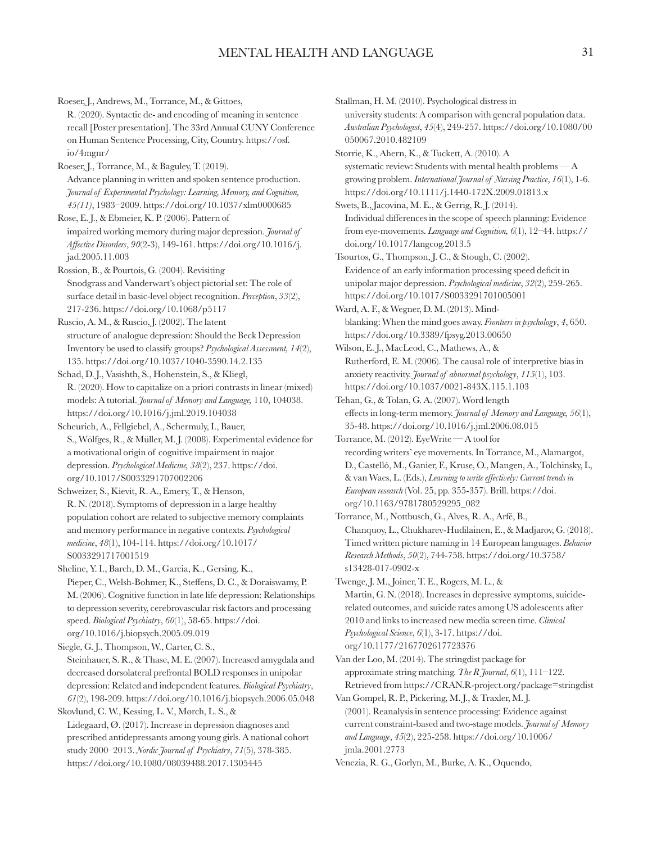Roeser, J., Andrews, M., Torrance, M., & Gittoes, R. (2020). Syntactic de- and encoding of meaning in sentence recall [Poster presentation]. The 33rd Annual CUNY Conference on Human Sentence Processing, City, Country. https://osf. io/4mgnr/

Roeser, J., Torrance, M., & Baguley, T. (2019). Advance planning in written and spoken sentence production. *Journal of Experimental Psychology: Learning, Memory, and Cognition, 45(11)*, 1983–2009. https://doi.org/10.1037/xlm0000685

Rose, E. J., & Ebmeier, K. P. (2006). Pattern of impaired working memory during major depression. *Journal of Affective Disorders*, *90*(2-3), 149-161. https://doi.org/10.1016/j. jad.2005.11.003

Rossion, B., & Pourtois, G. (2004). Revisiting Snodgrass and Vanderwart's object pictorial set: The role of surface detail in basic-level object recognition. *Perception*, *33*(2), 217-236. https://doi.org/10.1068/p5117

Ruscio, A. M., & Ruscio, J. (2002). The latent structure of analogue depression: Should the Beck Depression Inventory be used to classify groups? *Psychological Assessment, 14*(2), 135. https://doi.org/10.1037/1040-3590.14.2.135

Schad, D. J., Vasishth, S., Hohenstein, S., & Kliegl, R. (2020). How to capitalize on a priori contrasts in linear (mixed) models: A tutorial. *Journal of Memory and Language,* 110, 104038. https://doi.org/10.1016/j.jml.2019.104038

Scheurich, A., Fellgiebel, A., Schermuly, I., Bauer, S., Wölfges, R., & Müller, M. J. (2008). Experimental evidence for a motivational origin of cognitive impairment in major depression. *Psychological Medicine, 38*(2), 237. https://doi. org/10.1017/S0033291707002206

Schweizer, S., Kievit, R. A., Emery, T., & Henson, R. N. (2018). Symptoms of depression in a large healthy population cohort are related to subjective memory complaints and memory performance in negative contexts. *Psychological medicine*, *48*(1), 104-114. https://doi.org/10.1017/ S0033291717001519

Sheline, Y. I., Barch, D. M., Garcia, K., Gersing, K., Pieper, C., Welsh-Bohmer, K., Steffens, D. C., & Doraiswamy, P. M. (2006). Cognitive function in late life depression: Relationships to depression severity, cerebrovascular risk factors and processing speed. *Biological Psychiatry*, *60*(1), 58-65. https://doi. org/10.1016/j.biopsych.2005.09.019

Siegle, G. J., Thompson, W., Carter, C. S., Steinhauer, S. R., & Thase, M. E. (2007). Increased amygdala and decreased dorsolateral prefrontal BOLD responses in unipolar depression: Related and independent features. *Biological Psychiatry*, *61*(2), 198-209. https://doi.org/10.1016/j.biopsych.2006.05.048 Skovlund, C. W., Kessing, L. V., Mørch, L. S., &

Lidegaard, Ø. (2017). Increase in depression diagnoses and prescribed antidepressants among young girls. A national cohort study 2000–2013. *Nordic Journal of Psychiatry*, *71*(5), 378-385. https://doi.org/10.1080/08039488.2017.1305445

Stallman, H. M. (2010). Psychological distress in university students: A comparison with general population data. *Australian Psychologist*, *45*(4), 249-257. https://doi.org/10.1080/00 050067.2010.482109

Storrie, K., Ahern, K., & Tuckett, A. (2010). A systematic review: Students with mental health problems — A growing problem. *International Journal of Nursing Practice*, *16*(1), 1-6. https://doi.org/10.1111/j.1440-172X.2009.01813.x

Swets, B., Jacovina, M. E., & Gerrig, R. J. (2014). Individual differences in the scope of speech planning: Evidence from eye-movements. *Language and Cognition, 6*(1), 12–44. https:// doi.org/10.1017/langcog.2013.5

Tsourtos, G., Thompson, J. C., & Stough, C. (2002). Evidence of an early information processing speed deficit in unipolar major depression. *Psychological medicine*, *32*(2), 259-265. https://doi.org/10.1017/S0033291701005001

Ward, A. F., & Wegner, D. M. (2013). Mindblanking: When the mind goes away. *Frontiers in psychology*, *4*, 650. https://doi.org/10.3389/fpsyg.2013.00650

Wilson, E. J., MacLeod, C., Mathews, A., & Rutherford, E. M. (2006). The causal role of interpretive bias in anxiety reactivity. *Journal of abnormal psychology*, *115*(1), 103. https://doi.org/10.1037/0021-843X.115.1.103

Tehan, G., & Tolan, G. A. (2007). Word length effects in long-term memory. *Journal of Memory and Language, 56*(1), 35-48. https://doi.org/10.1016/j.jml.2006.08.015

Torrance, M. (2012). EyeWrite — A tool for recording writers' eye movements. In Torrance, M., Alamargot, D., Castelló, M., Ganier, F., Kruse, O., Mangen, A., Tolchinsky, L, & van Waes, L. (Eds.), *Learning to write effectively: Current trends in European research* (Vol. 25, pp. 355-357). Brill. https://doi. org/10.1163/9781780529295\_082

Torrance, M., Nottbusch, G., Alves, R. A., Arfé, B., Chanquoy, L., Chukharev-Hudilainen, E., & Madjarov, G. (2018). Timed written picture naming in 14 European languages. *Behavior Research Methods*, *50*(2), 744-758. https://doi.org/10.3758/ s13428-017-0902-x

Twenge, J. M., Joiner, T. E., Rogers, M. L., & Martin, G. N. (2018). Increases in depressive symptoms, suiciderelated outcomes, and suicide rates among US adolescents after 2010 and links to increased new media screen time. *Clinical Psychological Science*, *6*(1), 3-17. https://doi. org/10.1177/2167702617723376

Van der Loo, M. (2014). The stringdist package for approximate string matching. *The R Journal*, *6*(1), 111–122. Retrieved from https://CRAN.R-project.org/package=stringdist

Van Gompel, R. P., Pickering, M. J., & Traxler, M. J. (2001). Reanalysis in sentence processing: Evidence against current constraint-based and two-stage models. *Journal of Memory and Language*, *45*(2), 225-258. https://doi.org/10.1006/ jmla.2001.2773

Venezia, R. G., Gorlyn, M., Burke, A. K., Oquendo,